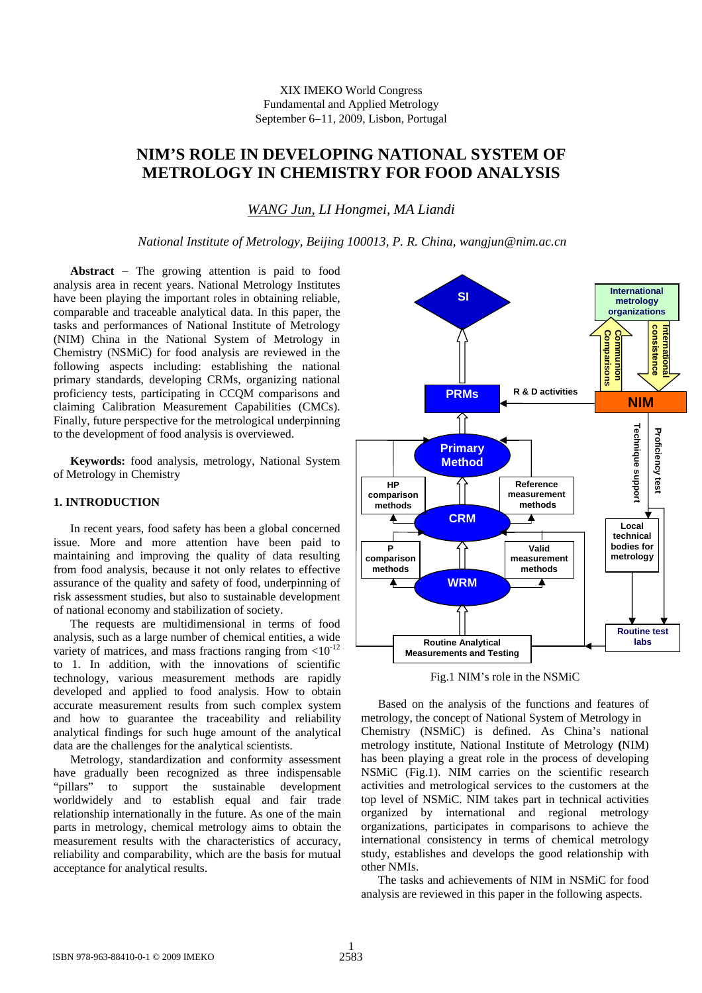# **NIM'S ROLE IN DEVELOPING NATIONAL SYSTEM OF METROLOGY IN CHEMISTRY FOR FOOD ANALYSIS**

*WANG Jun, LI Hongmei, MA Liandi* 

*National Institute of Metrology, Beijing 100013, P. R. China, wangjun@nim.ac.cn*

**Abstract** − The growing attention is paid to food analysis area in recent years. National Metrology Institutes have been playing the important roles in obtaining reliable, comparable and traceable analytical data. In this paper, the tasks and performances of National Institute of Metrology (NIM) China in the National System of Metrology in Chemistry (NSMiC) for food analysis are reviewed in the following aspects including: establishing the national primary standards, developing CRMs, organizing national proficiency tests, participating in CCQM comparisons and claiming Calibration Measurement Capabilities (CMCs). Finally, future perspective for the metrological underpinning to the development of food analysis is overviewed.

**Keywords:** food analysis, metrology, National System of Metrology in Chemistry

#### **1. INTRODUCTION**

In recent years, food safety has been a global concerned issu e. More and more attention have been paid to maintaining and improving the quality of data resulting from food analysis, because it not only relates to effective assurance of the quality and safety of food, underpinning of risk assessment studies, but also to sustainable development of national economy and stabilization of society.

The requests are multidimensional in terms of food ana lysis, such as a large number of chemical entities, a wide variety of matrices, and mass fractions ranging from  $< 10^{-12}$ to 1. In addition, with the innovations of scientific technology, various measurement methods are rapidly developed and applied to food analysis. How to obtain accurate measurement results from such complex system and how to guarantee the traceability and reliability analytical findings for such huge amount of the analytical data are the challenges for the analytical scientists.

Metrology, standardization and conformity assessment hav e gradually been recognized as three indispensable "pillars" to support the sustainable development worldwidely and to establish equal and fair trade relationship internationally in the future. As one of the main parts in metrology, chemical metrology aims to obtain the measurement results with the characteristics of accuracy, reliability and comparability, which are the basis for mutual acceptance for analytical results.



Fig.1 NIM's role in the NSMiC

Based on the analysis of the functions and features of me trology, the concept of National System of Metrology in Chemistry (NSMiC) is defined. As China's national metrology institute, National Institute of Metrology **(**NIM) has been playing a great role in the process of developing NSMiC (Fig.1). NIM carries on the scientific research activities and metrological services to the customers at the top level of NSMiC. NIM takes part in technical activities organized by international and regional metrology organizations, participates in comparisons to achieve the international consistency in terms of chemical metrology study, establishes and develops the good relationship with other NMIs.

The tasks and achievements of NIM in NSMiC for food analysis are reviewed in this paper in the following aspects.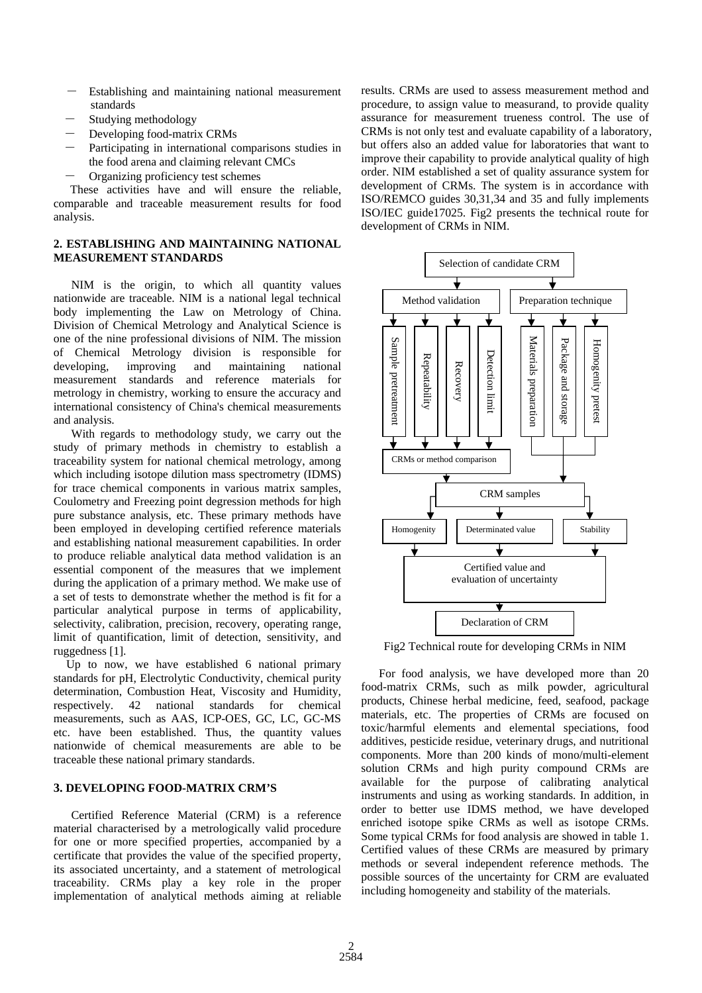- Establishing and maintaining national measurement standards
- Studying methodology
- Developing food-matrix CRMs
- Participating in international comparisons studies in the food arena and claiming relevant CMCs
- Organizing proficiency test schemes

These activities have and will ensure the reliable, comparable and traceable measurement results for food ana lysis.

### **LISHING AND MAINTAINING NATIONAL 2. ESTAB MEASUREMENT STANDARDS**

NIM is the origin, to which all quantity values bod y implementing the Law on Metrology of China. nationwide are traceable. NIM is a national legal technical Division of Chemical Metrology and Analytical Science is one of the nine professional divisions of NIM. The mission of Chemical Metrology division is responsible for developing, improving and maintaining national measurement standards and reference materials for metrology in chemistry, working to ensure the accuracy and international consistency of China's chemical measurements and analysis.

study of primary methods in chemistry to establish a trac eability system for national chemical metrology, among With regards to methodology study, we carry out the which including isotope dilution mass spectrometry (IDMS) for trace chemical components in various matrix samples, Coulometry and Freezing point degression methods for high pure substance analysis, etc. These primary methods have been employed in developing certified reference materials and establishing national measurement capabilities. In order to produce reliable analytical data method validation is an essential component of the measures that we implement during the application of a primary method. We make use of a set of tests to demonstrate whether the method is fit for a particular analytical purpose in terms of applicability, selectivity, calibration, precision, recovery, operating range, limit of quantification, limit of detection, sensitivity, and ruggedness [1].

standards for pH, Electrolytic Conductivity, chemical purity det ermination, Combustion Heat, Viscosity and Humidity, Up to now, we have established 6 national primary respectively. 42 national standards for chemical measurements, such as AAS, ICP-OES, GC, LC, GC-MS etc. have been established. Thus, the quantity values nationwide of chemical measurements are able to be traceable these national primary standards.

# **'S 3. DEVELOPING FOOD-MATRIX CRM**

Certified Reference Material (CRM) is a reference material characterised by a metrologically valid procedure for one or more specified properties, accompanied by a certificate that provides the value of the specified property, its associated uncertainty, and a statement of metrological traceability. CRMs play a key role in the proper implementation of analytical methods aiming at reliable

results. CRMs are used to assess measurement method and procedure, to assign value to measurand, to provide quality assurance for measurement trueness control. The use of CRMs is not only test and evaluate capability of a laboratory, but offers also an added value for laboratories that want to improve their capability to provide analytical quality of high order. NIM established a set of quality assurance system for development of CRMs. The system is in accordance with ISO/REMCO guides 30,31,34 and 35 and fully implements ISO/IEC guide17025. Fig2 presents the technical route for development of CRMs in NIM.



Fig2 Technical route for developing CRMs in NIM

For food analysis, we have developed more than 20 food-matrix CRMs, such as milk powder, agricultural pro ducts, Chinese herbal medicine, feed, seafood, package materials, etc. The properties of CRMs are focused on toxic/harmful elements and elemental speciations, food additives, pesticide residue, veterinary drugs, and nutritional components. More than 200 kinds of mono/multi-element solution CRMs and high purity compound CRMs are available for the purpose of calibrating analytical instruments and using as working standards. In addition, in order to better use IDMS method, we have developed enriched isotope spike CRMs as well as isotope CRMs. Some typical CRMs for food analysis are showed in table 1. Certified values of these CRMs are measured by primary methods or several independent reference methods. The possible sources of the uncertainty for CRM are evaluated including homogeneity and stability of the materials.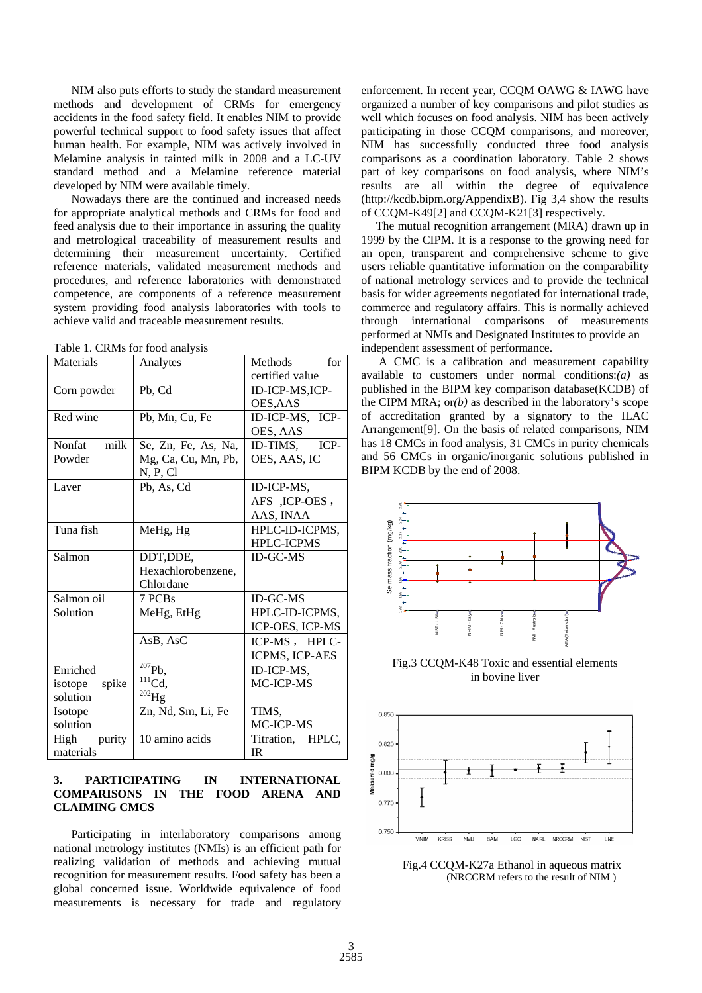NIM also puts efforts to study the standard measurement methods and development of CRMs for emergency acc idents in the food safety field. It enables NIM to provide powerful technical support to food safety issues that affect human health. For example, NIM was actively involved in Melamine analysis in tainted milk in 2008 and a LC-UV standard method and a Melamine reference material developed by NIM were available timely.

for appropriate analytical methods and CRMs for food and fee d analysis due to their importance in assuring the quality Nowadays there are the continued and increased needs and metrological traceability of measurement results and determining their measurement uncertainty. Certified reference materials, validated measurement methods and procedures, and reference laboratories with demonstrated competence, are components of a reference measurement system providing food analysis laboratories with tools to achieve valid and traceable measurement results.

| Materials        | Analytes            | Methods<br>for      |  |  |
|------------------|---------------------|---------------------|--|--|
|                  |                     | certified value     |  |  |
| Corn powder      | Pb, Cd              | ID-ICP-MS,ICP-      |  |  |
|                  |                     | OES,AAS             |  |  |
| Red wine         | Pb, Mn, Cu, Fe      | ID-ICP-MS, ICP-     |  |  |
|                  |                     | OES, AAS            |  |  |
| milk<br>Nonfat   | Se, Zn, Fe, As, Na, | ICP-<br>ID-TIMS,    |  |  |
| Powder           | Mg, Ca, Cu, Mn, Pb, | OES, AAS, IC        |  |  |
|                  | N, P, Cl            |                     |  |  |
| Laver            | Pb, As, Cd          | ID-ICP-MS,          |  |  |
|                  |                     | AFS , ICP-OES,      |  |  |
|                  |                     | AAS, INAA           |  |  |
| Tuna fish        | MeHg, Hg            | HPLC-ID-ICPMS,      |  |  |
|                  |                     | <b>HPLC-ICPMS</b>   |  |  |
| Salmon           | DDT, DDE,           | <b>ID-GC-MS</b>     |  |  |
|                  | Hexachlorobenzene,  |                     |  |  |
|                  | Chlordane           |                     |  |  |
| Salmon oil       | 7 PCBs              | <b>ID-GC-MS</b>     |  |  |
| Solution         | MeHg, EtHg          | HPLC-ID-ICPMS,      |  |  |
|                  |                     | ICP-OES, ICP-MS     |  |  |
|                  | AsB, AsC            | ICP-MS, HPLC-       |  |  |
|                  |                     | ICPMS, ICP-AES      |  |  |
| Enriched         | $^{207}Pb,$         | ID-ICP-MS,          |  |  |
| spike<br>isotope | $^{111}Cd,$         | MC-ICP-MS           |  |  |
| solution         | $^{202}$ Hg         |                     |  |  |
| Isotope          | Zn, Nd, Sm, Li, Fe  | TIMS,               |  |  |
| solution         |                     | MC-ICP-MS           |  |  |
| purity<br>High   | 10 amino acids      | Titration,<br>HPLC, |  |  |
| materials        |                     | IR                  |  |  |

|  |  | Table 1. CRMs for food analysis |  |  |  |  |
|--|--|---------------------------------|--|--|--|--|
|--|--|---------------------------------|--|--|--|--|

# 3. PARTICIPATING IN INTERNATIONAL **OMPARISONS IN THE FOOD ARENA AND C CLAIMING CMCS**

Participating in interlaboratory comparisons among national metrology institutes (NMIs) is an efficient path for rea lizing validation of methods and achieving mutual recognition for measurement results. Food safety has been a global concerned issue. Worldwide equivalence of food measurements is necessary for trade and regulatory

enforcement. In recent year, CCQM OAWG & IAWG have organized a number of key comparisons and pilot studies as well which focuses on food analysis. NIM has been actively participating in those CCQM comparisons, and moreover, NIM has successfully conducted three food analysis comparisons as a coordination laboratory. Table 2 shows part of key comparisons on food analysis, where NIM's results are all within the degree of equivalence (http://kcdb.bipm.org/AppendixB). Fig 3,4 show the results of CCQM-K49[2] and CCQM-K21[3] respectively.

1999 by the CIPM. It is a response to the growing need for The mutual recognition arrangement (MRA) drawn up in an open, transparent and comprehensive scheme to give users reliable quantitative information on the comparability of national metrology services and to provide the technical basis for wider agreements negotiated for international trade, commerce and regulatory affairs. This is normally achieved through international comparisons of measurements performed at NMIs and Designated Institutes to provide an independent assessment of performance.

available to customers under normal conditions: $(a)$  as A CMC is a calibration and measurement capability published in the BIPM key comparison database(KCDB) of the CIPM MRA; or*(b)* as described in the laboratory's scope of accreditation granted by a signatory to the ILAC Arrangement[9]. On the basis of related comparisons, NIM has 18 CMCs in food analysis, 31 CMCs in purity chemicals and 56 CMCs in organic/inorganic solutions published in BIPM KCDB by the end of 2008.



Fig.3 CCQM-K48 Toxic and essential elements in bovine liver



Fig.4 CCQM-K27a Ethanol in aqueous matrix (NRCCRM refers to the result of NIM )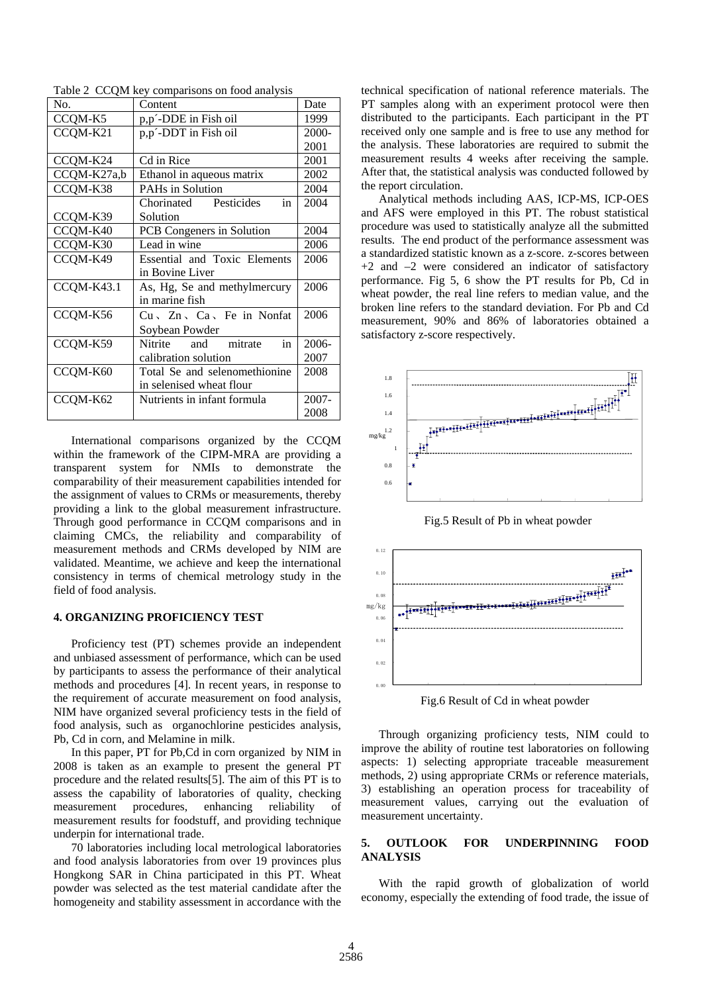| Table 2 CCQM key comparisons on food analysis |
|-----------------------------------------------|
|-----------------------------------------------|

| No.         | Content                                | Date  |
|-------------|----------------------------------------|-------|
| CCQM-K5     | p,p'-DDE in Fish oil                   | 1999  |
| CCQM-K21    | p,p'-DDT in Fish oil                   | 2000- |
|             |                                        | 2001  |
| CCQM-K24    | Cd in Rice                             | 2001  |
| CCQM-K27a,b | Ethanol in aqueous matrix              | 2002  |
| CCQM-K38    | <b>PAHs in Solution</b>                | 2004  |
|             | Pesticides<br>Chorinated<br>in         | 2004  |
| CCQM-K39    | Solution                               |       |
| CCQM-K40    | PCB Congeners in Solution              | 2004  |
| CCQM-K30    | Lead in wine                           | 2006  |
| CCQM-K49    | Essential and Toxic Elements           | 2006  |
|             | in Bovine Liver                        |       |
| CCQM-K43.1  | As, Hg, Se and methylmercury           | 2006  |
|             | in marine fish                         |       |
| CCQM-K56    | $Cu \sim Zn \sim Ca \sim Fe$ in Nonfat | 2006  |
|             | Soybean Powder                         |       |
| CCQM-K59    | Nitrite<br>and mitrate<br>in           | 2006- |
|             | calibration solution                   | 2007  |
| CCQM-K60    | Total Se and selenomethionine          | 2008  |
|             | in selenised wheat flour               |       |
| CCQM-K62    | Nutrients in infant formula            | 2007- |
|             |                                        | 2008  |

International comparisons organized by the CCQM within the framework of the CIPM-MRA are providing a tran sparent system for NMIs to demonstrate the comparability of their measurement capabilities intended for the assignment of values to CRMs or measurements, thereby providing a link to the global measurement infrastructure. Through good performance in CCQM comparisons and in claiming CMCs, the reliability and comparability of measurement methods and CRMs developed by NIM are validated. Meantime, we achieve and keep the international consistency in terms of chemical metrology study in the field of food analysis.

#### **4. ORGANIZING PROFICIENCY TEST**

Proficiency test (PT) schemes provide an independent and unbiased assessment of performance, which can be used by participants to assess the performance of their analytical methods and procedures [4]. In recent years, in response to the requirement of accurate measurement on food analysis, NIM have organized several proficiency tests in the field of food analysis, such as organochlorine pesticides analysis, Pb, Cd in corn, and Melamine in milk.

2008 is taken as an example to present the general PT pro cedure and the related results[5]. The aim of this PT is to In this paper, PT for Pb,Cd in corn organized by NIM in assess the capability of laboratories of quality, checking measurement procedures, enhancing reliability of measurement results for foodstuff, and providing technique underpin for international trade.

and food analysis laboratories from over 19 provinces plus Ho ngkong SAR in China participated in this PT. Wheat 70 laboratories including local metrological laboratories powder was selected as the test material candidate after the homogeneity and stability assessment in accordance with the

technical specification of national reference materials. The PT samples along with an experiment protocol were then distributed to the participants. Each participant in the PT received only one sample and is free to use any method for the analysis. These laboratories are required to submit the measurement results 4 weeks after receiving the sample. After that, the statistical analysis was conducted followed by the report circulation.

and AFS were employed in this PT. The robust statistical pro cedure was used to statistically analyze all the submitted Analytical methods including AAS, ICP-MS, ICP-OES results. The end product of the performance assessment was a standardized statistic known as a z-score. z-scores between  $+2$  and  $-2$  were considered an indicator of satisfactory performance. Fig 5, 6 show the PT results for Pb, Cd in wheat powder, the real line refers to median value, and the broken line refers to the standard deviation. For Pb and Cd measurement, 90% and 86% of laboratories obtained a satisfactory z-score respectively.



Fig.5 Result of Pb in wheat powder



Fig.6 Result of Cd in wheat powder

Through organizing proficiency tests, NIM could to improve the ability of routine test laboratories on following asp ects: 1) selecting appropriate traceable measurement methods, 2) using appropriate CRMs or reference materials, 3) establishing an operation process for traceability of measurement values, carrying out the evaluation of measurement uncertainty.

#### **5. OUTLOOK FOR UNDERPINNING FOOD ANALYSIS**

economy, especially the extending of food trade, the issue of With the rapid growth of globalization of world